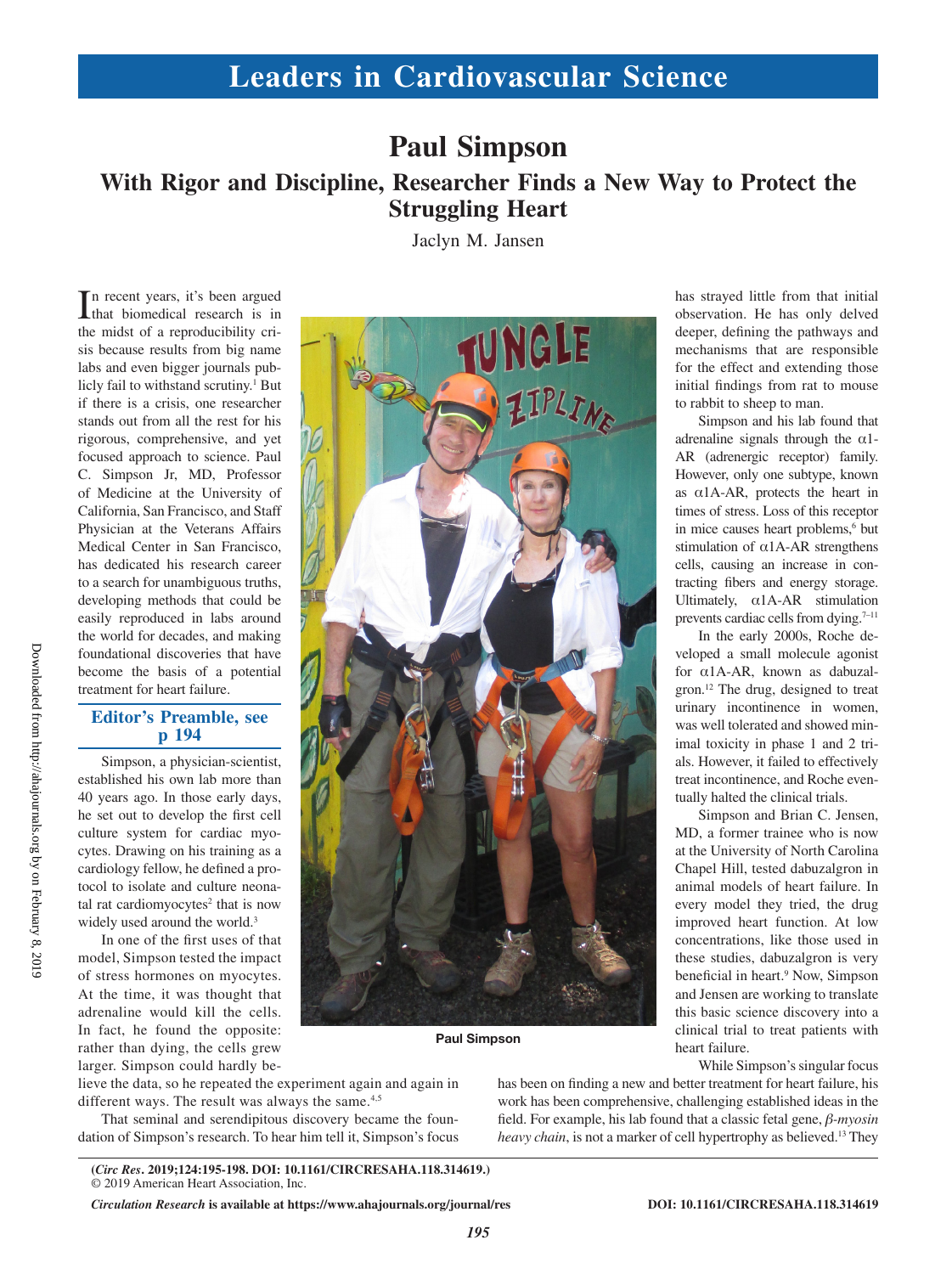# **Paul Simpson**

# **With Rigor and Discipline, Researcher Finds a New Way to Protect the Struggling Heart**

Jaclyn M. Jansen

In recent years, it's been argued<br>that biomedical research is in that biomedical research is in the midst of a reproducibility crisis because results from big name labs and even bigger journals publicly fail to withstand scrutiny.<sup>1</sup> But if there is a crisis, one researcher stands out from all the rest for his rigorous, comprehensive, and yet focused approach to science. Paul C. Simpson Jr, MD, Professor of Medicine at the University of California, San Francisco, and Staff Physician at the Veterans Affairs Medical Center in San Francisco, has dedicated his research career to a search for unambiguous truths, developing methods that could be easily reproduced in labs around the world for decades, and making foundational discoveries that have become the basis of a potential treatment for heart failure.

# **[Editor's Preamble, see](https://circres.ahajournals.org/content/124/2/194)  [p 194](https://circres.ahajournals.org/content/124/2/194)**

Simpson, a physician-scientist, established his own lab more than 40 years ago. In those early days, he set out to develop the first cell culture system for cardiac myocytes. Drawing on his training as a cardiology fellow, he defined a protocol to isolate and culture neonatal rat cardiomyocytes<sup>2</sup> that is now widely used around the world.<sup>3</sup>

Downloaded from http://ahajournals.org by on February 8, 2019 Downloaded from http://ahajournals.org by on February 8, 2019

In one of the first uses of that model, Simpson tested the impact of stress hormones on myocytes. At the time, it was thought that adrenaline would kill the cells. In fact, he found the opposite: rather than dying, the cells grew larger. Simpson could hardly be-



Paul Simpson

has strayed little from that initial observation. He has only delved deeper, defining the pathways and mechanisms that are responsible for the effect and extending those initial findings from rat to mouse to rabbit to sheep to man.

Simpson and his lab found that adrenaline signals through the  $\alpha$ 1-AR (adrenergic receptor) family. However, only one subtype, known as  $\alpha$ 1A-AR, protects the heart in times of stress. Loss of this receptor in mice causes heart problems,<sup>6</sup> but stimulation of α1A-AR strengthens cells, causing an increase in contracting fibers and energy storage. Ultimately, α1A-AR stimulation prevents cardiac cells from dying. $7-11$ 

In the early 2000s, Roche developed a small molecule agonist for α1A-AR, known as dabuzalgron.<sup>12</sup> The drug, designed to treat urinary incontinence in women, was well tolerated and showed minimal toxicity in phase 1 and 2 trials. However, it failed to effectively treat incontinence, and Roche eventually halted the clinical trials.

Simpson and Brian C. Jensen, MD, a former trainee who is now at the University of North Carolina Chapel Hill, tested dabuzalgron in animal models of heart failure. In every model they tried, the drug improved heart function. At low concentrations, like those used in these studies, dabuzalgron is very beneficial in heart.<sup>9</sup> Now, Simpson and Jensen are working to translate this basic science discovery into a clinical trial to treat patients with heart failure.

While Simpson's singular focus

lieve the data, so he repeated the experiment again and again in different ways. The result was always the same.<sup>4,5</sup>

That seminal and serendipitous discovery became the foundation of Simpson's research. To hear him tell it, Simpson's focus has been on finding a new and better treatment for heart failure, his work has been comprehensive, challenging established ideas in the field. For example, his lab found that a classic fetal gene, *β-myosin heavy chain*, is not a marker of cell hypertrophy as believed.<sup>13</sup> They

**(***Circ Res***. 2019;124:195-198. DOI: 10.1161/CIRCRESAHA.118.314619.)** © 2019 American Heart Association, Inc.

*Circulation Research* **is available at <https://www.ahajournals.org/journal/res> DOI: 10.1161/CIRCRESAHA.118.314619**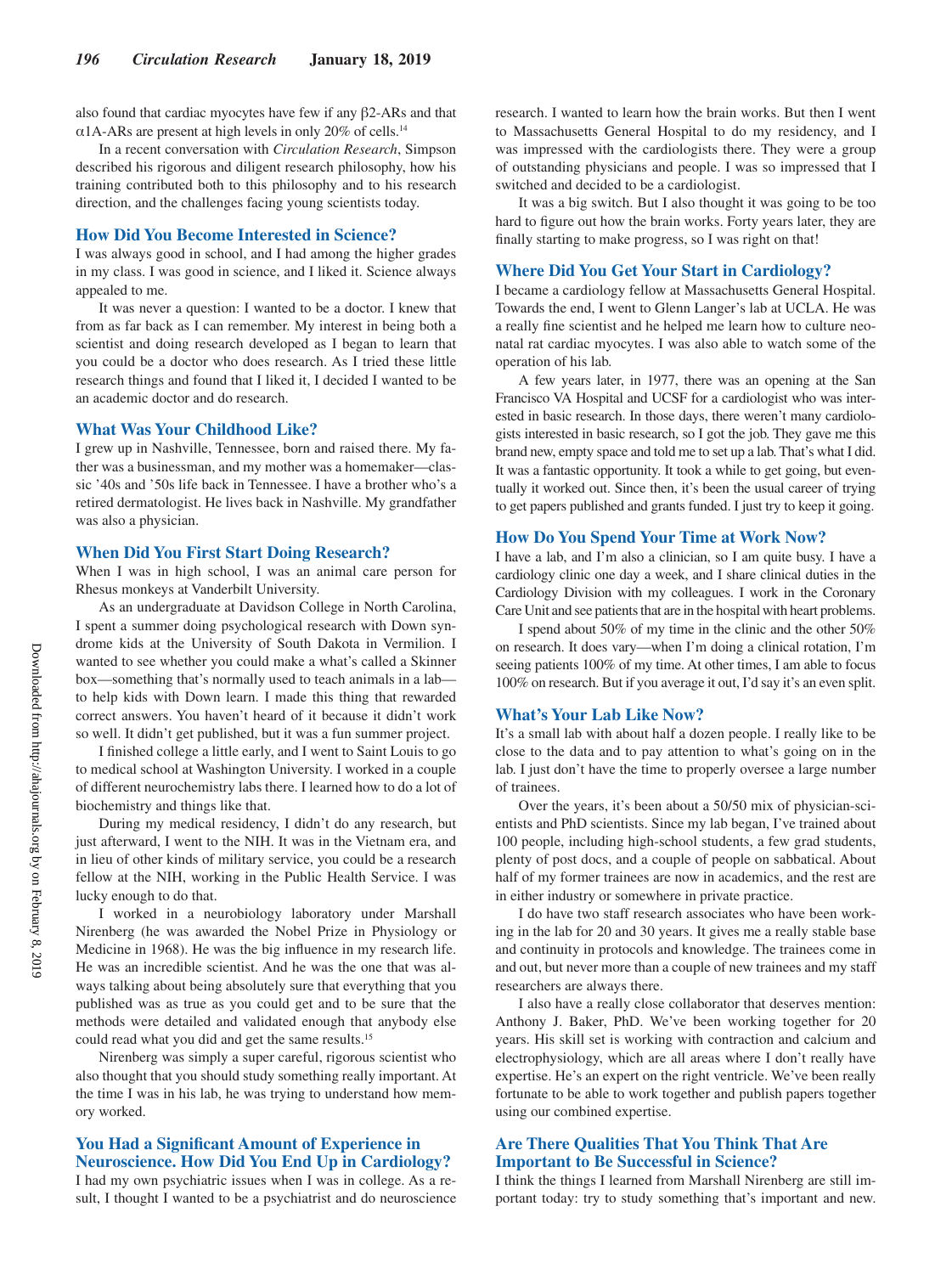also found that cardiac myocytes have few if any β2-ARs and that  $\alpha$ 1A-ARs are present at high levels in only 20% of cells.<sup>14</sup>

In a recent conversation with *Circulation Research*, Simpson described his rigorous and diligent research philosophy, how his training contributed both to this philosophy and to his research direction, and the challenges facing young scientists today.

#### **How Did You Become Interested in Science?**

I was always good in school, and I had among the higher grades in my class. I was good in science, and I liked it. Science always appealed to me.

It was never a question: I wanted to be a doctor. I knew that from as far back as I can remember. My interest in being both a scientist and doing research developed as I began to learn that you could be a doctor who does research. As I tried these little research things and found that I liked it, I decided I wanted to be an academic doctor and do research.

#### **What Was Your Childhood Like?**

I grew up in Nashville, Tennessee, born and raised there. My father was a businessman, and my mother was a homemaker—classic '40s and '50s life back in Tennessee. I have a brother who's a retired dermatologist. He lives back in Nashville. My grandfather was also a physician.

#### **When Did You First Start Doing Research?**

When I was in high school, I was an animal care person for Rhesus monkeys at Vanderbilt University.

As an undergraduate at Davidson College in North Carolina, I spent a summer doing psychological research with Down syndrome kids at the University of South Dakota in Vermilion. I wanted to see whether you could make a what's called a Skinner box—something that's normally used to teach animals in a lab to help kids with Down learn. I made this thing that rewarded correct answers. You haven't heard of it because it didn't work so well. It didn't get published, but it was a fun summer project.

I finished college a little early, and I went to Saint Louis to go to medical school at Washington University. I worked in a couple of different neurochemistry labs there. I learned how to do a lot of biochemistry and things like that.

During my medical residency, I didn't do any research, but just afterward, I went to the NIH. It was in the Vietnam era, and in lieu of other kinds of military service, you could be a research fellow at the NIH, working in the Public Health Service. I was lucky enough to do that.

I worked in a neurobiology laboratory under Marshall Nirenberg (he was awarded the Nobel Prize in Physiology or Medicine in 1968). He was the big influence in my research life. He was an incredible scientist. And he was the one that was always talking about being absolutely sure that everything that you published was as true as you could get and to be sure that the methods were detailed and validated enough that anybody else could read what you did and get the same results.15

Nirenberg was simply a super careful, rigorous scientist who also thought that you should study something really important. At the time I was in his lab, he was trying to understand how memory worked.

#### **You Had a Significant Amount of Experience in Neuroscience. How Did You End Up in Cardiology?**

I had my own psychiatric issues when I was in college. As a result, I thought I wanted to be a psychiatrist and do neuroscience research. I wanted to learn how the brain works. But then I went to Massachusetts General Hospital to do my residency, and I was impressed with the cardiologists there. They were a group of outstanding physicians and people. I was so impressed that I switched and decided to be a cardiologist.

It was a big switch. But I also thought it was going to be too hard to figure out how the brain works. Forty years later, they are finally starting to make progress, so I was right on that!

#### **Where Did You Get Your Start in Cardiology?**

I became a cardiology fellow at Massachusetts General Hospital. Towards the end, I went to Glenn Langer's lab at UCLA. He was a really fine scientist and he helped me learn how to culture neonatal rat cardiac myocytes. I was also able to watch some of the operation of his lab.

A few years later, in 1977, there was an opening at the San Francisco VA Hospital and UCSF for a cardiologist who was interested in basic research. In those days, there weren't many cardiologists interested in basic research, so I got the job. They gave me this brand new, empty space and told me to set up a lab. That's what I did. It was a fantastic opportunity. It took a while to get going, but eventually it worked out. Since then, it's been the usual career of trying to get papers published and grants funded. I just try to keep it going.

#### **How Do You Spend Your Time at Work Now?**

I have a lab, and I'm also a clinician, so I am quite busy. I have a cardiology clinic one day a week, and I share clinical duties in the Cardiology Division with my colleagues. I work in the Coronary Care Unit and see patients that are in the hospital with heart problems.

I spend about 50% of my time in the clinic and the other 50% on research. It does vary—when I'm doing a clinical rotation, I'm seeing patients 100% of my time. At other times, I am able to focus 100% on research. But if you average it out, I'd say it's an even split.

#### **What's Your Lab Like Now?**

It's a small lab with about half a dozen people. I really like to be close to the data and to pay attention to what's going on in the lab. I just don't have the time to properly oversee a large number of trainees.

Over the years, it's been about a 50/50 mix of physician-scientists and PhD scientists. Since my lab began, I've trained about 100 people, including high-school students, a few grad students, plenty of post docs, and a couple of people on sabbatical. About half of my former trainees are now in academics, and the rest are in either industry or somewhere in private practice.

I do have two staff research associates who have been working in the lab for 20 and 30 years. It gives me a really stable base and continuity in protocols and knowledge. The trainees come in and out, but never more than a couple of new trainees and my staff researchers are always there.

I also have a really close collaborator that deserves mention: Anthony J. Baker, PhD. We've been working together for 20 years. His skill set is working with contraction and calcium and electrophysiology, which are all areas where I don't really have expertise. He's an expert on the right ventricle. We've been really fortunate to be able to work together and publish papers together using our combined expertise.

# **Are There Qualities That You Think That Are Important to Be Successful in Science?**

I think the things I learned from Marshall Nirenberg are still important today: try to study something that's important and new.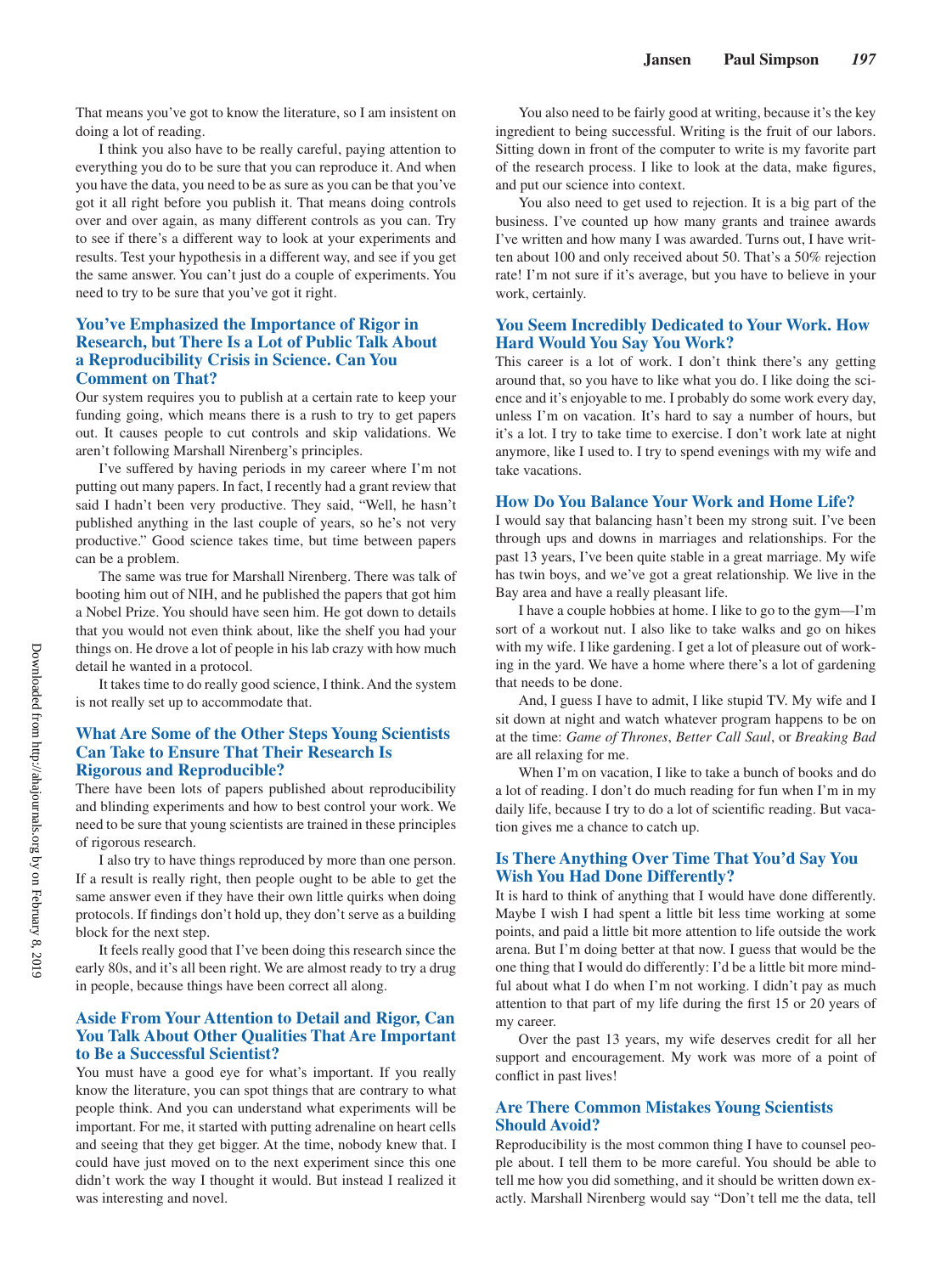That means you've got to know the literature, so I am insistent on doing a lot of reading.

I think you also have to be really careful, paying attention to everything you do to be sure that you can reproduce it. And when you have the data, you need to be as sure as you can be that you've got it all right before you publish it. That means doing controls over and over again, as many different controls as you can. Try to see if there's a different way to look at your experiments and results. Test your hypothesis in a different way, and see if you get the same answer. You can't just do a couple of experiments. You need to try to be sure that you've got it right.

# **You've Emphasized the Importance of Rigor in Research, but There Is a Lot of Public Talk About a Reproducibility Crisis in Science. Can You Comment on That?**

Our system requires you to publish at a certain rate to keep your funding going, which means there is a rush to try to get papers out. It causes people to cut controls and skip validations. We aren't following Marshall Nirenberg's principles.

I've suffered by having periods in my career where I'm not putting out many papers. In fact, I recently had a grant review that said I hadn't been very productive. They said, "Well, he hasn't published anything in the last couple of years, so he's not very productive." Good science takes time, but time between papers can be a problem.

The same was true for Marshall Nirenberg. There was talk of booting him out of NIH, and he published the papers that got him a Nobel Prize. You should have seen him. He got down to details that you would not even think about, like the shelf you had your things on. He drove a lot of people in his lab crazy with how much detail he wanted in a protocol.

It takes time to do really good science, I think. And the system is not really set up to accommodate that.

### **What Are Some of the Other Steps Young Scientists Can Take to Ensure That Their Research Is Rigorous and Reproducible?**

There have been lots of papers published about reproducibility and blinding experiments and how to best control your work. We need to be sure that young scientists are trained in these principles of rigorous research.

I also try to have things reproduced by more than one person. If a result is really right, then people ought to be able to get the same answer even if they have their own little quirks when doing protocols. If findings don't hold up, they don't serve as a building block for the next step.

It feels really good that I've been doing this research since the early 80s, and it's all been right. We are almost ready to try a drug in people, because things have been correct all along.

# **Aside From Your Attention to Detail and Rigor, Can You Talk About Other Qualities That Are Important to Be a Successful Scientist?**

You must have a good eye for what's important. If you really know the literature, you can spot things that are contrary to what people think. And you can understand what experiments will be important. For me, it started with putting adrenaline on heart cells and seeing that they get bigger. At the time, nobody knew that. I could have just moved on to the next experiment since this one didn't work the way I thought it would. But instead I realized it was interesting and novel.

You also need to be fairly good at writing, because it's the key ingredient to being successful. Writing is the fruit of our labors. Sitting down in front of the computer to write is my favorite part of the research process. I like to look at the data, make figures, and put our science into context.

You also need to get used to rejection. It is a big part of the business. I've counted up how many grants and trainee awards I've written and how many I was awarded. Turns out, I have written about 100 and only received about 50. That's a 50% rejection rate! I'm not sure if it's average, but you have to believe in your work, certainly.

# **You Seem Incredibly Dedicated to Your Work. How Hard Would You Say You Work?**

This career is a lot of work. I don't think there's any getting around that, so you have to like what you do. I like doing the science and it's enjoyable to me. I probably do some work every day, unless I'm on vacation. It's hard to say a number of hours, but it's a lot. I try to take time to exercise. I don't work late at night anymore, like I used to. I try to spend evenings with my wife and take vacations.

#### **How Do You Balance Your Work and Home Life?**

I would say that balancing hasn't been my strong suit. I've been through ups and downs in marriages and relationships. For the past 13 years, I've been quite stable in a great marriage. My wife has twin boys, and we've got a great relationship. We live in the Bay area and have a really pleasant life.

I have a couple hobbies at home. I like to go to the gym—I'm sort of a workout nut. I also like to take walks and go on hikes with my wife. I like gardening. I get a lot of pleasure out of working in the yard. We have a home where there's a lot of gardening that needs to be done.

And, I guess I have to admit, I like stupid TV. My wife and I sit down at night and watch whatever program happens to be on at the time: *Game of Thrones*, *Better Call Saul*, or *Breaking Bad*  are all relaxing for me.

When I'm on vacation, I like to take a bunch of books and do a lot of reading. I don't do much reading for fun when I'm in my daily life, because I try to do a lot of scientific reading. But vacation gives me a chance to catch up.

# **Is There Anything Over Time That You'd Say You Wish You Had Done Differently?**

It is hard to think of anything that I would have done differently. Maybe I wish I had spent a little bit less time working at some points, and paid a little bit more attention to life outside the work arena. But I'm doing better at that now. I guess that would be the one thing that I would do differently: I'd be a little bit more mindful about what I do when I'm not working. I didn't pay as much attention to that part of my life during the first 15 or 20 years of my career.

Over the past 13 years, my wife deserves credit for all her support and encouragement. My work was more of a point of conflict in past lives!

# **Are There Common Mistakes Young Scientists Should Avoid?**

Reproducibility is the most common thing I have to counsel people about. I tell them to be more careful. You should be able to tell me how you did something, and it should be written down exactly. Marshall Nirenberg would say "Don't tell me the data, tell